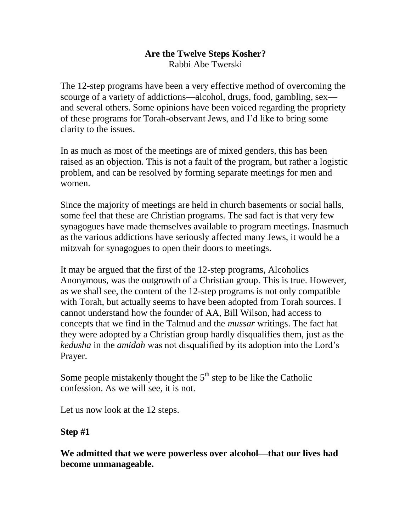#### **Are the Twelve Steps Kosher?** Rabbi Abe Twerski

The 12-step programs have been a very effective method of overcoming the scourge of a variety of addictions—alcohol, drugs, food, gambling, sex and several others. Some opinions have been voiced regarding the propriety of these programs for Torah-observant Jews, and I'd like to bring some clarity to the issues.

In as much as most of the meetings are of mixed genders, this has been raised as an objection. This is not a fault of the program, but rather a logistic problem, and can be resolved by forming separate meetings for men and women.

Since the majority of meetings are held in church basements or social halls, some feel that these are Christian programs. The sad fact is that very few synagogues have made themselves available to program meetings. Inasmuch as the various addictions have seriously affected many Jews, it would be a mitzvah for synagogues to open their doors to meetings.

It may be argued that the first of the 12-step programs, Alcoholics Anonymous, was the outgrowth of a Christian group. This is true. However, as we shall see, the content of the 12-step programs is not only compatible with Torah, but actually seems to have been adopted from Torah sources. I cannot understand how the founder of AA, Bill Wilson, had access to concepts that we find in the Talmud and the *mussar* writings. The fact hat they were adopted by a Christian group hardly disqualifies them, just as the *kedusha* in the *amidah* was not disqualified by its adoption into the Lord's Prayer.

Some people mistakenly thought the  $5<sup>th</sup>$  step to be like the Catholic confession. As we will see, it is not.

Let us now look at the 12 steps.

#### **Step #1**

**We admitted that we were powerless over alcohol—that our lives had become unmanageable.**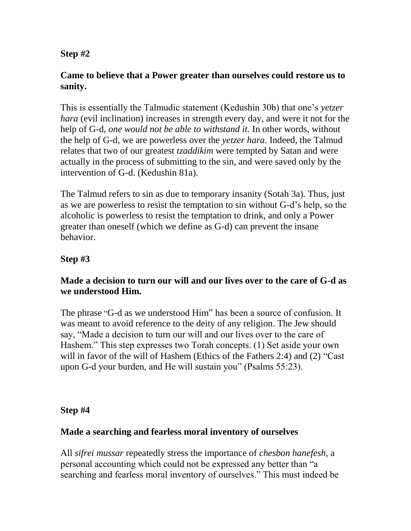#### **Step #2**

## **Came to believe that a Power greater than ourselves could restore us to sanity.**

This is essentially the Talmudic statement (Kedushin 30b) that one's *yetzer hara* (evil inclination) increases in strength every day, and were it not for the help of G-d, *one would not be able to withstand it.* In other words, without the help of G-d, we are powerless over the *yetzer hara.* Indeed, the Talmud relates that two of our greatest *tzaddikim* were tempted by Satan and were actually in the process of submitting to the sin, and were saved only by the intervention of G-d. (Kedushin 81a).

The Talmud refers to sin as due to temporary insanity (Sotah 3a). Thus, just as we are powerless to resist the temptation to sin without G-d's help, so the alcoholic is powerless to resist the temptation to drink, and only a Power greater than oneself (which we define as G-d) can prevent the insane behavior.

# **Step #3**

#### **Made a decision to turn our will and our lives over to the care of G-d as we understood Him.**

The phrase "G-d as we understood Him" has been a source of confusion. It was meant to avoid reference to the deity of any religion. The Jew should say, "Made a decision to turn our will and our lives over to the care of Hashem." This step expresses two Torah concepts. (1) Set aside your own will in favor of the will of Hashem (Ethics of the Fathers 2:4) and (2) "Cast upon G-d your burden, and He will sustain you" (Psalms 55:23).

#### **Step #4**

#### **Made a searching and fearless moral inventory of ourselves**

All *sifrei mussar* repeatedly stress the importance of *chesbon hanefesh*, a personal accounting which could not be expressed any better than "a searching and fearless moral inventory of ourselves." This must indeed be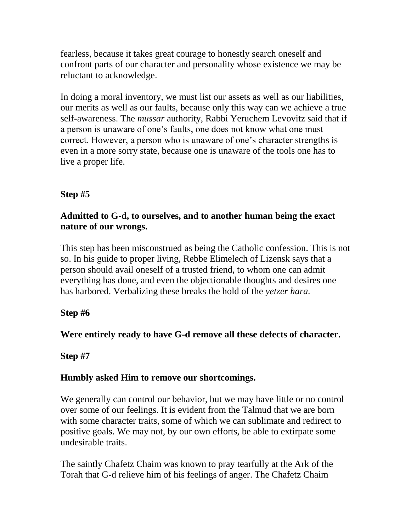fearless, because it takes great courage to honestly search oneself and confront parts of our character and personality whose existence we may be reluctant to acknowledge.

In doing a moral inventory, we must list our assets as well as our liabilities, our merits as well as our faults, because only this way can we achieve a true self-awareness. The *mussar* authority, Rabbi Yeruchem Levovitz said that if a person is unaware of one's faults, one does not know what one must correct. However, a person who is unaware of one's character strengths is even in a more sorry state, because one is unaware of the tools one has to live a proper life.

# **Step #5**

#### **Admitted to G-d, to ourselves, and to another human being the exact nature of our wrongs.**

This step has been misconstrued as being the Catholic confession. This is not so. In his guide to proper living, Rebbe Elimelech of Lizensk says that a person should avail oneself of a trusted friend, to whom one can admit everything has done, and even the objectionable thoughts and desires one has harbored. Verbalizing these breaks the hold of the *yetzer hara.*

#### **Step #6**

# **Were entirely ready to have G-d remove all these defects of character.**

#### **Step #7**

#### **Humbly asked Him to remove our shortcomings.**

We generally can control our behavior, but we may have little or no control over some of our feelings. It is evident from the Talmud that we are born with some character traits, some of which we can sublimate and redirect to positive goals. We may not, by our own efforts, be able to extirpate some undesirable traits.

The saintly Chafetz Chaim was known to pray tearfully at the Ark of the Torah that G-d relieve him of his feelings of anger. The Chafetz Chaim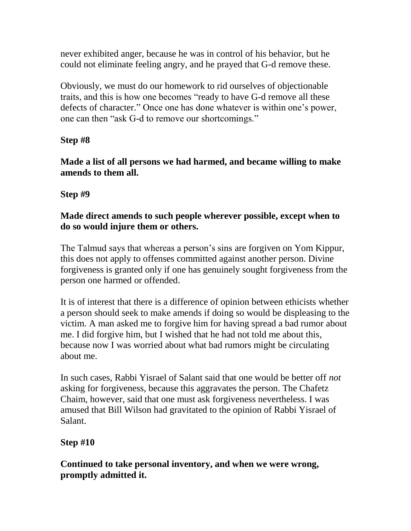never exhibited anger, because he was in control of his behavior, but he could not eliminate feeling angry, and he prayed that G-d remove these.

Obviously, we must do our homework to rid ourselves of objectionable traits, and this is how one becomes "ready to have G-d remove all these defects of character." Once one has done whatever is within one's power, one can then "ask G-d to remove our shortcomings."

**Step #8**

**Made a list of all persons we had harmed, and became willing to make amends to them all.**

**Step #9**

## **Made direct amends to such people wherever possible, except when to do so would injure them or others.**

The Talmud says that whereas a person's sins are forgiven on Yom Kippur, this does not apply to offenses committed against another person. Divine forgiveness is granted only if one has genuinely sought forgiveness from the person one harmed or offended.

It is of interest that there is a difference of opinion between ethicists whether a person should seek to make amends if doing so would be displeasing to the victim. A man asked me to forgive him for having spread a bad rumor about me. I did forgive him, but I wished that he had not told me about this, because now I was worried about what bad rumors might be circulating about me.

In such cases, Rabbi Yisrael of Salant said that one would be better off *not*  asking for forgiveness, because this aggravates the person. The Chafetz Chaim, however, said that one must ask forgiveness nevertheless. I was amused that Bill Wilson had gravitated to the opinion of Rabbi Yisrael of Salant.

# **Step #10**

**Continued to take personal inventory, and when we were wrong, promptly admitted it.**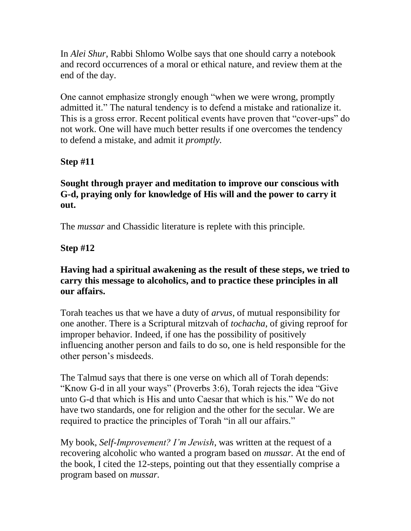In *Alei Shur*, Rabbi Shlomo Wolbe says that one should carry a notebook and record occurrences of a moral or ethical nature, and review them at the end of the day.

One cannot emphasize strongly enough "when we were wrong, promptly admitted it." The natural tendency is to defend a mistake and rationalize it. This is a gross error. Recent political events have proven that "cover-ups" do not work. One will have much better results if one overcomes the tendency to defend a mistake, and admit it *promptly.*

**Step #11**

## **Sought through prayer and meditation to improve our conscious with G-d, praying only for knowledge of His will and the power to carry it out.**

The *mussar* and Chassidic literature is replete with this principle.

**Step #12**

#### **Having had a spiritual awakening as the result of these steps, we tried to carry this message to alcoholics, and to practice these principles in all our affairs.**

Torah teaches us that we have a duty of *arvus*, of mutual responsibility for one another. There is a Scriptural mitzvah of *tochacha*, of giving reproof for improper behavior. Indeed, if one has the possibility of positively influencing another person and fails to do so, one is held responsible for the other person's misdeeds.

The Talmud says that there is one verse on which all of Torah depends: "Know G-d in all your ways" (Proverbs 3:6), Torah rejects the idea "Give unto G-d that which is His and unto Caesar that which is his." We do not have two standards, one for religion and the other for the secular. We are required to practice the principles of Torah "in all our affairs."

My book, *Self-Improvement? I'm Jewish*, was written at the request of a recovering alcoholic who wanted a program based on *mussar.* At the end of the book, I cited the 12-steps, pointing out that they essentially comprise a program based on *mussar.*